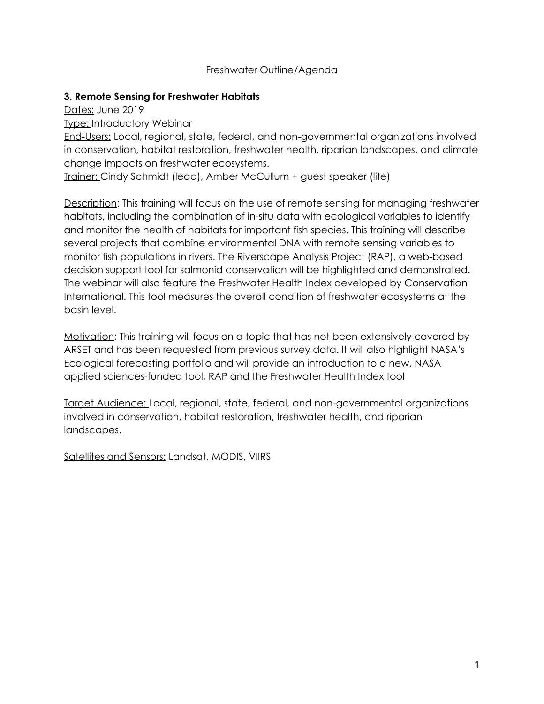#### Freshwater Outline/Agenda

#### **3. Remote Sensing for Freshwater Habitats**

Dates: June 2019

Type: Introductory Webinar

End-Users: Local, regional, state, federal, and non-governmental organizations involved in conservation, habitat restoration, freshwater health, riparian landscapes, and climate change impacts on freshwater ecosystems.

Trainer: Cindy Schmidt (lead), Amber McCullum + guest speaker (lite)

Description: This training will focus on the use of remote sensing for managing freshwater habitats, including the combination of in-situ data with ecological variables to identify and monitor the health of habitats for important fish species. This training will describe several projects that combine environmental DNA with remote sensing variables to monitor fish populations in rivers. The Riverscape Analysis Project (RAP), a web-based decision support tool for salmonid conservation will be highlighted and demonstrated. The webinar will also feature the Freshwater Health Index developed by Conservation International. This tool measures the overall condition of freshwater ecosystems at the basin level.

Motivation: This training will focus on a topic that has not been extensively covered by ARSET and has been requested from previous survey data. It will also highlight NASA's Ecological forecasting portfolio and will provide an introduction to a new, NASA applied sciences-funded tool, RAP and the Freshwater Health Index tool

Target Audience: Local, regional, state, federal, and non-governmental organizations involved in conservation, habitat restoration, freshwater health, and riparian landscapes.

Satellites and Sensors: Landsat, MODIS, VIIRS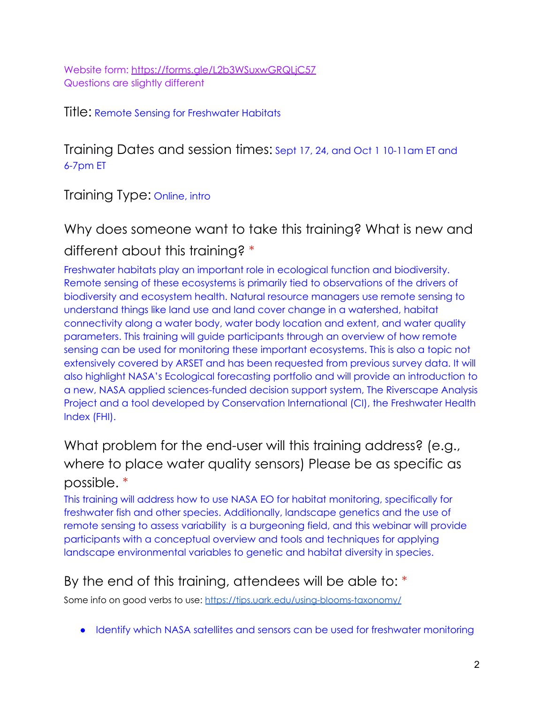Website form: <https://forms.gle/L2b3WSuxwGRQLjC57> Questions are slightly different

#### Title: Remote Sensing for Freshwater Habitats

Training Dates and session times: Sept 17, 24, and Oct 1 10-11am ET and 6-7pm ET

Training Type: Online, intro

Why does someone want to take this training? What is new and different about this training? \*

Freshwater habitats play an important role in ecological function and biodiversity. Remote sensing of these ecosystems is primarily tied to observations of the drivers of biodiversity and ecosystem health. Natural resource managers use remote sensing to understand things like land use and land cover change in a watershed, habitat connectivity along a water body, water body location and extent, and water quality parameters. This training will guide participants through an overview of how remote sensing can be used for monitoring these important ecosystems. This is also a topic not extensively covered by ARSET and has been requested from previous survey data. It will also highlight NASA's Ecological forecasting portfolio and will provide an introduction to a new, NASA applied sciences-funded decision support system, The Riverscape Analysis Project and a tool developed by Conservation International (CI), the Freshwater Health Index (FHI).

What problem for the end-user will this training address? (e.g., where to place water quality sensors) Please be as specific as possible. \*

This training will address how to use NASA EO for habitat monitoring, specifically for freshwater fish and other species. Additionally, landscape genetics and the use of remote sensing to assess variability is a burgeoning field, and this webinar will provide participants with a conceptual overview and tools and techniques for applying landscape environmental variables to genetic and habitat diversity in species.

## By the end of this training, attendees will be able to: \*

Some info on good verbs to use: <https://tips.uark.edu/using-blooms-taxonomy/>

● Identify which NASA satellites and sensors can be used for freshwater monitoring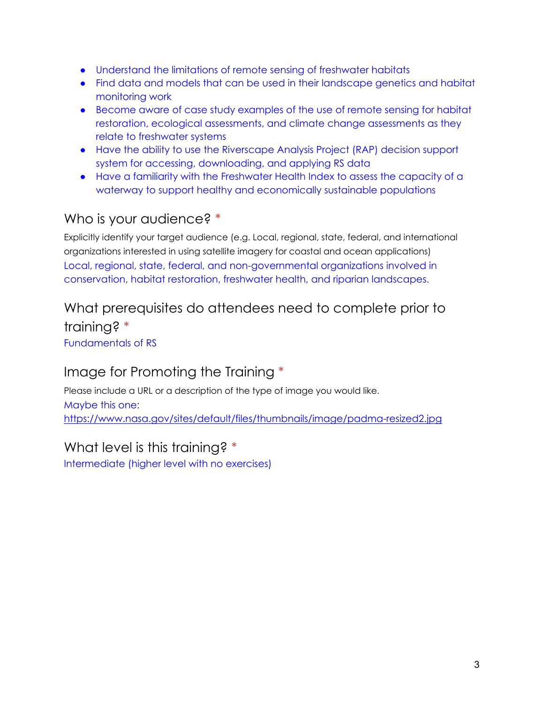- Understand the limitations of remote sensing of freshwater habitats
- Find data and models that can be used in their landscape genetics and habitat monitoring work
- Become aware of case study examples of the use of remote sensing for habitat restoration, ecological assessments, and climate change assessments as they relate to freshwater systems
- Have the ability to use the Riverscape Analysis Project (RAP) decision support system for accessing, downloading, and applying RS data
- Have a familiarity with the Freshwater Health Index to assess the capacity of a waterway to support healthy and economically sustainable populations

## Who is your audience? \*

Explicitly identify your target audience (e.g. Local, regional, state, federal, and international organizations interested in using satellite imagery for coastal and ocean applications) Local, regional, state, federal, and non-governmental organizations involved in conservation, habitat restoration, freshwater health, and riparian landscapes.

# What prerequisites do attendees need to complete prior to training? \*

Fundamentals of RS

## Image for Promoting the Training \*

Please include a URL or a description of the type of image you would like. Maybe this one: <https://www.nasa.gov/sites/default/files/thumbnails/image/padma-resized2.jpg>

## What level is this training? \*

Intermediate (higher level with no exercises)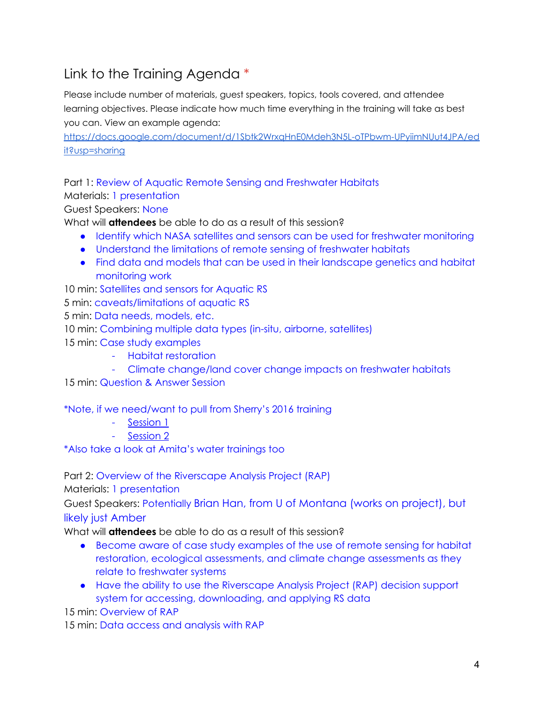## Link to the Training Agenda \*

Please include number of materials, guest speakers, topics, tools covered, and attendee learning objectives. Please indicate how much time everything in the training will take as best you can. View an example agenda:

[https://docs.google.com/document/d/1Sbtk2WrxqHnE0Mdeh3N5L-oTPbwm-UPyiimNUut4JPA/ed](https://docs.google.com/document/d/1Sbtk2WrxqHnE0Mdeh3N5L-oTPbwm-UPyiimNUut4JPA/edit?usp=sharing) [it?usp=sharing](https://docs.google.com/document/d/1Sbtk2WrxqHnE0Mdeh3N5L-oTPbwm-UPyiimNUut4JPA/edit?usp=sharing)

Part 1: Review of Aquatic Remote Sensing and Freshwater Habitats Materials: 1 presentation

Guest Speakers: None

What will **attendees** be able to do as a result of this session?

- Identify which NASA satellites and sensors can be used for freshwater monitoring
- Understand the limitations of remote sensing of freshwater habitats
- Find data and models that can be used in their landscape genetics and habitat monitoring work

10 min: Satellites and sensors for Aquatic RS

5 min: caveats/limitations of aquatic RS

5 min: Data needs, models, etc.

10 min: Combining multiple data types (in-situ, airborne, satellites)

15 min: Case study examples

- Habitat restoration
- Climate change/land cover change impacts on freshwater habitats

15 min: Question & Answer Session

\*Note, if we need/want to pull from Sherry's 2016 training

- [Session](https://drive.google.com/file/d/0B6vBt_qaKSdhcEJ4WXAwQmVxVjQ/view?usp=sharing) 1
- [Session](https://drive.google.com/file/d/0B6vBt_qaKSdhUnE5dDI0YTh4eTQ/view?usp=sharing) 2

\*Also take a look at Amita's water trainings too

Part 2: Overview of the Riverscape Analysis Project (RAP)

Materials: 1 presentation

Guest Speakers: Potentially Brian Han, from U of Montana (works on project), but likely just Amber

What will **attendees** be able to do as a result of this session?

- Become aware of case study examples of the use of remote sensing for habitat restoration, ecological assessments, and climate change assessments as they relate to freshwater systems
- Have the ability to use the Riverscape Analysis Project (RAP) decision support system for accessing, downloading, and applying RS data

15 min: Overview of RAP

15 min: Data access and analysis with RAP